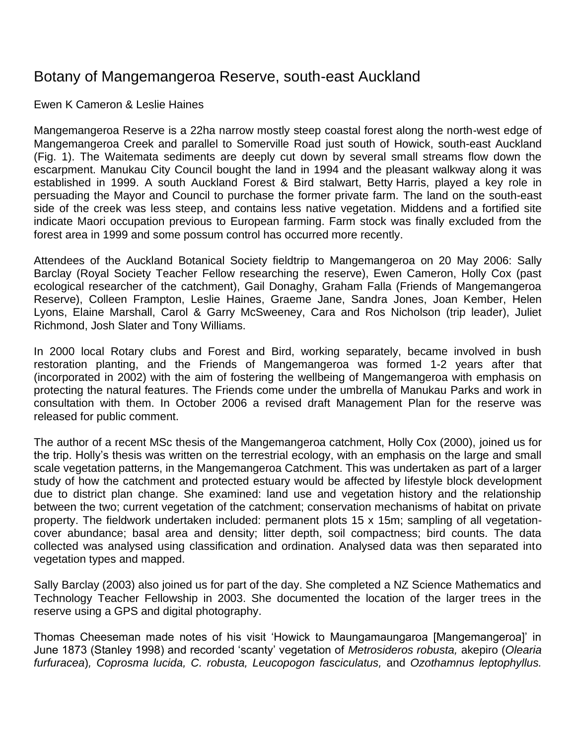# Botany of Mangemangeroa Reserve, south-east Auckland

Ewen K Cameron & Leslie Haines

Mangemangeroa Reserve is a 22ha narrow mostly steep coastal forest along the north-west edge of Mangemangeroa Creek and parallel to Somerville Road just south of Howick, south-east Auckland (Fig. 1). The Waitemata sediments are deeply cut down by several small streams flow down the escarpment. Manukau City Council bought the land in 1994 and the pleasant walkway along it was established in 1999. A south Auckland Forest & Bird stalwart, Betty Harris, played a key role in persuading the Mayor and Council to purchase the former private farm. The land on the south-east side of the creek was less steep, and contains less native vegetation. Middens and a fortified site indicate Maori occupation previous to European farming. Farm stock was finally excluded from the forest area in 1999 and some possum control has occurred more recently.

Attendees of the Auckland Botanical Society fieldtrip to Mangemangeroa on 20 May 2006: Sally Barclay (Royal Society Teacher Fellow researching the reserve), Ewen Cameron, Holly Cox (past ecological researcher of the catchment), Gail Donaghy, Graham Falla (Friends of Mangemangeroa Reserve), Colleen Frampton, Leslie Haines, Graeme Jane, Sandra Jones, Joan Kember, Helen Lyons, Elaine Marshall, Carol & Garry McSweeney, Cara and Ros Nicholson (trip leader), Juliet Richmond, Josh Slater and Tony Williams.

In 2000 local Rotary clubs and Forest and Bird, working separately, became involved in bush restoration planting, and the Friends of Mangemangeroa was formed 1-2 years after that (incorporated in 2002) with the aim of fostering the wellbeing of Mangemangeroa with emphasis on protecting the natural features. The Friends come under the umbrella of Manukau Parks and work in consultation with them. In October 2006 a revised draft Management Plan for the reserve was released for public comment.

The author of a recent MSc thesis of the Mangemangeroa catchment, Holly Cox (2000), joined us for the trip. Holly's thesis was written on the terrestrial ecology, with an emphasis on the large and small scale vegetation patterns, in the Mangemangeroa Catchment. This was undertaken as part of a larger study of how the catchment and protected estuary would be affected by lifestyle block development due to district plan change. She examined: land use and vegetation history and the relationship between the two; current vegetation of the catchment; conservation mechanisms of habitat on private property. The fieldwork undertaken included: permanent plots 15 x 15m; sampling of all vegetationcover abundance; basal area and density; litter depth, soil compactness; bird counts. The data collected was analysed using classification and ordination. Analysed data was then separated into vegetation types and mapped.

Sally Barclay (2003) also joined us for part of the day. She completed a NZ Science Mathematics and Technology Teacher Fellowship in 2003. She documented the location of the larger trees in the reserve using a GPS and digital photography.

Thomas Cheeseman made notes of his visit 'Howick to Maungamaungaroa [Mangemangeroa]' in June 1873 (Stanley 1998) and recorded 'scanty' vegetation of *Metrosideros robusta,* akepiro (*Olearia furfuracea*)*, Coprosma lucida, C. robusta, Leucopogon fasciculatus,* and *Ozothamnus leptophyllus.*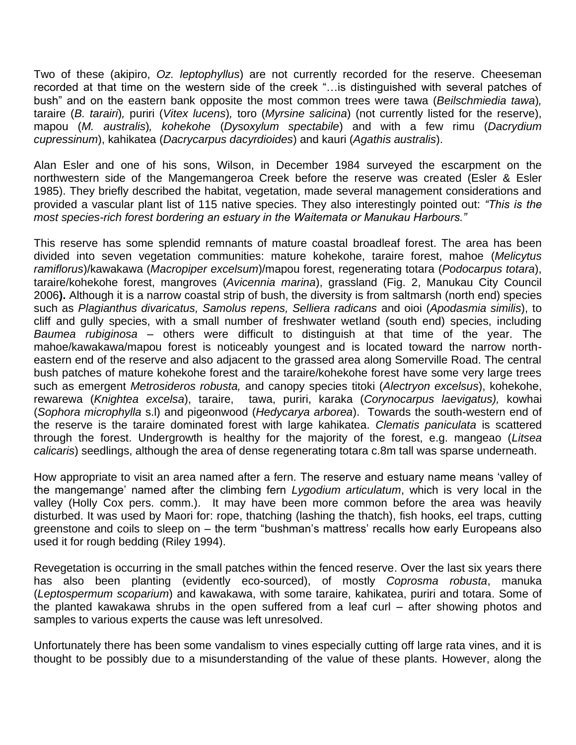Two of these (akipiro, *Oz. leptophyllus*) are not currently recorded for the reserve. Cheeseman recorded at that time on the western side of the creek "…is distinguished with several patches of bush" and on the eastern bank opposite the most common trees were tawa (*Beilschmiedia tawa*)*,*  taraire (*B. tarairi*)*,* puriri (*Vitex lucens*)*,* toro (*Myrsine salicina*) (not currently listed for the reserve), mapou (*M. australis*)*, kohekohe* (*Dysoxylum spectabile*) and with a few rimu (*Dacrydium cupressinum*), kahikatea (*Dacrycarpus dacyrdioides*) and kauri (*Agathis australis*).

Alan Esler and one of his sons, Wilson, in December 1984 surveyed the escarpment on the northwestern side of the Mangemangeroa Creek before the reserve was created (Esler & Esler 1985). They briefly described the habitat, vegetation, made several management considerations and provided a vascular plant list of 115 native species. They also interestingly pointed out: *"This is the most species-rich forest bordering an estuary in the Waitemata or Manukau Harbours."*

This reserve has some splendid remnants of mature coastal broadleaf forest. The area has been divided into seven vegetation communities: mature kohekohe, taraire forest, mahoe (*Melicytus ramiflorus*)/kawakawa (*Macropiper excelsum*)/mapou forest, regenerating totara (*Podocarpus totara*), taraire/kohekohe forest, mangroves (*Avicennia marina*), grassland (Fig. 2, Manukau City Council 2006**).** Although it is a narrow coastal strip of bush, the diversity is from saltmarsh (north end) species such as *Plagianthus divaricatus, Samolus repens, Selliera radicans* and oioi (*Apodasmia similis*), to cliff and gully species, with a small number of freshwater wetland (south end) species, including *Baumea rubiginosa –* others were difficult to distinguish at that time of the year. The mahoe/kawakawa/mapou forest is noticeably youngest and is located toward the narrow northeastern end of the reserve and also adjacent to the grassed area along Somerville Road. The central bush patches of mature kohekohe forest and the taraire/kohekohe forest have some very large trees such as emergent *Metrosideros robusta,* and canopy species titoki (*Alectryon excelsus*), kohekohe, rewarewa (*Knightea excelsa*), taraire, tawa, puriri, karaka (*Corynocarpus laevigatus),* kowhai (*Sophora microphylla* s.l) and pigeonwood (*Hedycarya arborea*). Towards the south-western end of the reserve is the taraire dominated forest with large kahikatea. *Clematis paniculata* is scattered through the forest. Undergrowth is healthy for the majority of the forest, e.g. mangeao (*Litsea calicaris*) seedlings, although the area of dense regenerating totara c.8m tall was sparse underneath.

How appropriate to visit an area named after a fern. The reserve and estuary name means 'valley of the mangemange' named after the climbing fern *Lygodium articulatum*, which is very local in the valley (Holly Cox pers. comm.). It may have been more common before the area was heavily disturbed. It was used by Maori for: rope, thatching (lashing the thatch), fish hooks, eel traps, cutting greenstone and coils to sleep on – the term "bushman's mattress' recalls how early Europeans also used it for rough bedding (Riley 1994).

Revegetation is occurring in the small patches within the fenced reserve. Over the last six years there has also been planting (evidently eco-sourced), of mostly *Coprosma robusta*, manuka (*Leptospermum scoparium*) and kawakawa, with some taraire, kahikatea, puriri and totara. Some of the planted kawakawa shrubs in the open suffered from a leaf curl – after showing photos and samples to various experts the cause was left unresolved.

Unfortunately there has been some vandalism to vines especially cutting off large rata vines, and it is thought to be possibly due to a misunderstanding of the value of these plants. However, along the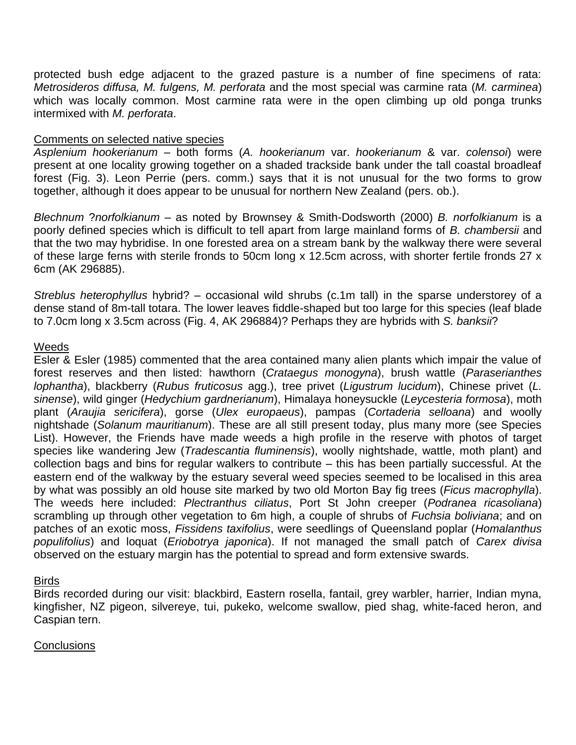protected bush edge adjacent to the grazed pasture is a number of fine specimens of rata: *Metrosideros diffusa, M. fulgens, M. perforata* and the most special was carmine rata (*M. carminea*) which was locally common. Most carmine rata were in the open climbing up old ponga trunks intermixed with *M. perforata*.

### Comments on selected native species

*Asplenium hookerianum* – both forms (*A. hookerianum* var. *hookerianum* & var. *colensoi*) were present at one locality growing together on a shaded trackside bank under the tall coastal broadleaf forest (Fig. 3). Leon Perrie (pers. comm.) says that it is not unusual for the two forms to grow together, although it does appear to be unusual for northern New Zealand (pers. ob.).

*Blechnum* ?*norfolkianum* – as noted by Brownsey & Smith-Dodsworth (2000) *B. norfolkianum* is a poorly defined species which is difficult to tell apart from large mainland forms of *B. chambersii* and that the two may hybridise. In one forested area on a stream bank by the walkway there were several of these large ferns with sterile fronds to 50cm long x 12.5cm across, with shorter fertile fronds 27 x 6cm (AK 296885).

*Streblus heterophyllus* hybrid? – occasional wild shrubs (c.1m tall) in the sparse understorey of a dense stand of 8m-tall totara. The lower leaves fiddle-shaped but too large for this species (leaf blade to 7.0cm long x 3.5cm across (Fig. 4, AK 296884)? Perhaps they are hybrids with *S. banksii*?

#### Weeds

Esler & Esler (1985) commented that the area contained many alien plants which impair the value of forest reserves and then listed: hawthorn (*Crataegus monogyna*), brush wattle (*Paraserianthes lophantha*), blackberry (*Rubus fruticosus* agg.), tree privet (*Ligustrum lucidum*), Chinese privet (*L. sinense*), wild ginger (*Hedychium gardnerianum*), Himalaya honeysuckle (*Leycesteria formosa*), moth plant (*Araujia sericifera*), gorse (*Ulex europaeus*), pampas (*Cortaderia selloana*) and woolly nightshade (*Solanum mauritianum*). These are all still present today, plus many more (see Species List). However, the Friends have made weeds a high profile in the reserve with photos of target species like wandering Jew (*Tradescantia fluminensis*), woolly nightshade, wattle, moth plant) and collection bags and bins for regular walkers to contribute – this has been partially successful. At the eastern end of the walkway by the estuary several weed species seemed to be localised in this area by what was possibly an old house site marked by two old Morton Bay fig trees (*Ficus macrophylla*). The weeds here included: *Plectranthus ciliatus*, Port St John creeper (*Podranea ricasoliana*) scrambling up through other vegetation to 6m high, a couple of shrubs of *Fuchsia boliviana*; and on patches of an exotic moss, *Fissidens taxifolius*, were seedlings of Queensland poplar (*Homalanthus populifolius*) and loquat (*Eriobotrya japonica*). If not managed the small patch of *Carex divisa* observed on the estuary margin has the potential to spread and form extensive swards.

## Birds

Birds recorded during our visit: blackbird, Eastern rosella, fantail, grey warbler, harrier, Indian myna, kingfisher, NZ pigeon, silvereye, tui, pukeko, welcome swallow, pied shag, white-faced heron, and Caspian tern.

#### **Conclusions**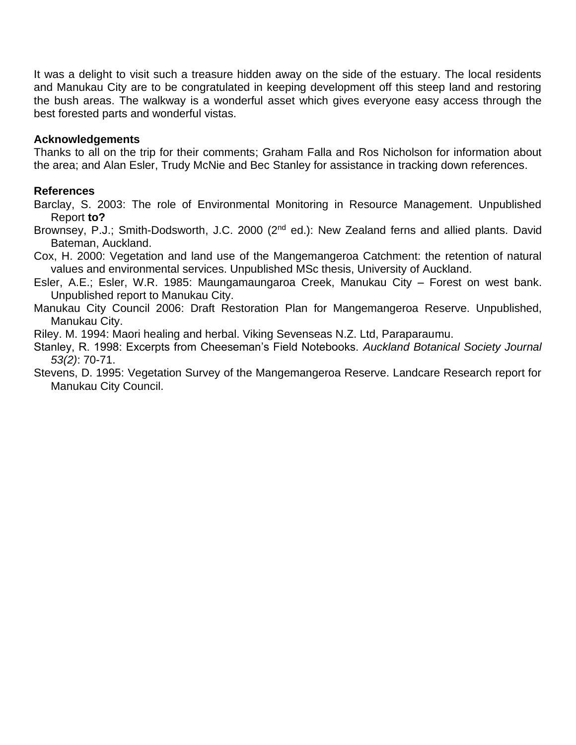It was a delight to visit such a treasure hidden away on the side of the estuary. The local residents and Manukau City are to be congratulated in keeping development off this steep land and restoring the bush areas. The walkway is a wonderful asset which gives everyone easy access through the best forested parts and wonderful vistas.

# **Acknowledgements**

Thanks to all on the trip for their comments; Graham Falla and Ros Nicholson for information about the area; and Alan Esler, Trudy McNie and Bec Stanley for assistance in tracking down references.

# **References**

Barclay, S. 2003: The role of Environmental Monitoring in Resource Management. Unpublished Report **to?**

- Brownsey, P.J.; Smith-Dodsworth, J.C. 2000 (2<sup>nd</sup> ed.): New Zealand ferns and allied plants. David Bateman, Auckland.
- Cox, H. 2000: Vegetation and land use of the Mangemangeroa Catchment: the retention of natural values and environmental services. Unpublished MSc thesis, University of Auckland.
- Esler, A.E.; Esler, W.R. 1985: Maungamaungaroa Creek, Manukau City Forest on west bank. Unpublished report to Manukau City.
- Manukau City Council 2006: Draft Restoration Plan for Mangemangeroa Reserve. Unpublished, Manukau City.

Riley. M. 1994: Maori healing and herbal. Viking Sevenseas N.Z. Ltd, Paraparaumu.

Stanley, R. 1998: Excerpts from Cheeseman's Field Notebooks. *Auckland Botanical Society Journal 53(2)*: 70-71.

Stevens, D. 1995: Vegetation Survey of the Mangemangeroa Reserve. Landcare Research report for Manukau City Council.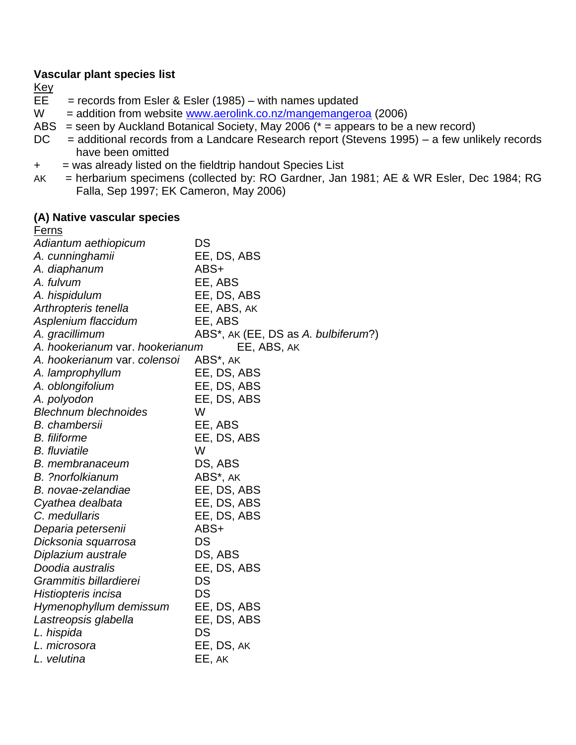# **Vascular plant species list**

- Key<br>EE  $=$  records from Esler & Esler (1985) – with names updated
- $W =$  addition from website [www.aerolink.co.nz/mangemangeroa](http://www.aerolink.co.nz/mangemangeroa) (2006)
- ABS = seen by Auckland Botanical Society, May 2006  $(* =$  appears to be a new record)
- DC = additional records from a Landcare Research report (Stevens 1995) a few unlikely records have been omitted
- + = was already listed on the fieldtrip handout Species List
- AK = herbarium specimens (collected by: RO Gardner, Jan 1981; AE & WR Esler, Dec 1984; RG Falla, Sep 1997; EK Cameron, May 2006)

#### **(A) Native vascular species**

| <u>Ferns</u>                    |                                     |
|---------------------------------|-------------------------------------|
| Adiantum aethiopicum            | DS                                  |
| A. cunninghamii                 | EE, DS, ABS                         |
| A. diaphanum                    | ABS+                                |
| A. fulvum                       | EE, ABS                             |
| A. hispidulum                   | EE, DS, ABS                         |
| Arthropteris tenella            | EE, ABS, AK                         |
| Asplenium flaccidum             | EE, ABS                             |
| A. gracillimum                  | ABS*, AK (EE, DS as A. bulbiferum?) |
| A. hookerianum var. hookerianum | EE, ABS, AK                         |
| A. hookerianum var. colensoi    | ABS*, AK                            |
| A. lamprophyllum                | EE, DS, ABS                         |
| A. oblongifolium                | EE, DS, ABS                         |
| A. polyodon                     | EE, DS, ABS                         |
| <b>Blechnum blechnoides</b>     | W                                   |
| <b>B.</b> chambersii            | EE, ABS                             |
| <b>B.</b> filiforme             | EE, DS, ABS                         |
| <b>B.</b> fluviatile            | W                                   |
| <b>B.</b> membranaceum          | DS, ABS                             |
| <b>B.</b> ?norfolkianum         | ABS*, AK                            |
| B. novae-zelandiae              | EE, DS, ABS                         |
| Cyathea dealbata                | EE, DS, ABS                         |
| C. medullaris                   | EE, DS, ABS                         |
| Deparia petersenii              | ABS+                                |
| Dicksonia squarrosa             | DS                                  |
| Diplazium australe              | DS, ABS                             |
| Doodia australis                | EE, DS, ABS                         |
| Grammitis billardierei          | DS                                  |
| Histiopteris incisa             | DS                                  |
| Hymenophyllum demissum          | EE, DS, ABS                         |
| Lastreopsis glabella            | EE, DS, ABS                         |
| L. hispida                      | DS                                  |
| L. microsora                    | EE, DS, AK                          |
| L. velutina                     | EE, AK                              |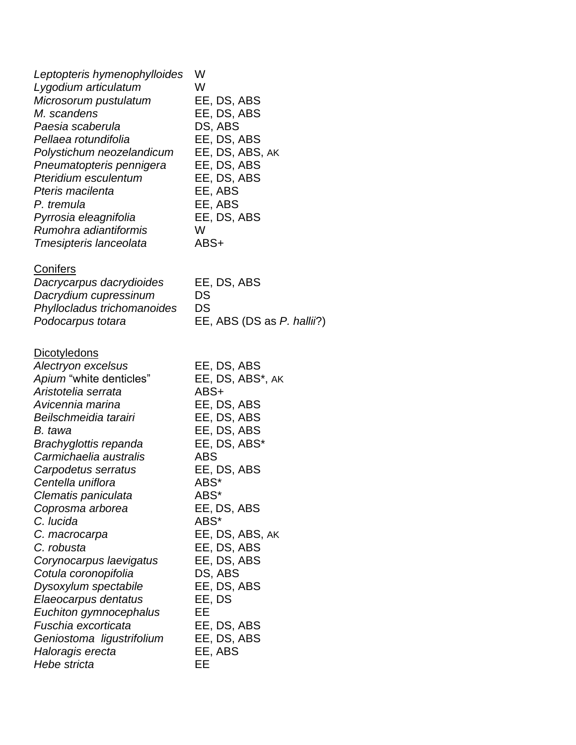| Leptopteris hymenophylloides<br>Lygodium articulatum<br>Microsorum pustulatum<br>M. scandens<br>Paesia scaberula<br>Pellaea rotundifolia<br>Polystichum neozelandicum<br>Pneumatopteris pennigera<br>Pteridium esculentum<br>Pteris macilenta<br>P. tremula<br>Pyrrosia eleagnifolia<br>Rumohra adiantiformis<br>Tmesipteris lanceolata                                                                                                                                                                                                                        | W<br>W<br>EE, DS, ABS<br>EE, DS, ABS<br>DS, ABS<br>EE, DS, ABS<br>EE, DS, ABS, AK<br>EE, DS, ABS<br>EE, DS, ABS<br>EE, ABS<br>EE, ABS<br>EE, DS, ABS<br>W<br>ABS+                                                                                                                                                  |
|----------------------------------------------------------------------------------------------------------------------------------------------------------------------------------------------------------------------------------------------------------------------------------------------------------------------------------------------------------------------------------------------------------------------------------------------------------------------------------------------------------------------------------------------------------------|--------------------------------------------------------------------------------------------------------------------------------------------------------------------------------------------------------------------------------------------------------------------------------------------------------------------|
| <b>Conifers</b><br>Dacrycarpus dacrydioides<br>Dacrydium cupressinum<br>Phyllocladus trichomanoides<br>Podocarpus totara                                                                                                                                                                                                                                                                                                                                                                                                                                       | EE, DS, ABS<br>DS<br>DS<br>EE, ABS (DS as P. hallin?)                                                                                                                                                                                                                                                              |
| <b>Dicotyledons</b><br>Alectryon excelsus<br>Apium "white denticles"<br>Aristotelia serrata<br>Avicennia marina<br>Beilschmeidia tarairi<br>B. tawa<br>Brachyglottis repanda<br>Carmichaelia australis<br>Carpodetus serratus<br>Centella uniflora<br>Clematis paniculata<br>Coprosma arborea<br>C. lucida<br>C. macrocarpa<br>C. robusta<br>Corynocarpus laevigatus<br>Cotula coronopifolia<br>Dysoxylum spectabile<br>Elaeocarpus dentatus<br>Euchiton gymnocephalus<br>Fuschia excorticata<br>Geniostoma ligustrifolium<br>Haloragis erecta<br>Hebe stricta | EE, DS, ABS<br>EE, DS, ABS*, AK<br>ABS+<br>EE, DS, ABS<br>EE, DS, ABS<br>EE, DS, ABS<br>EE, DS, ABS*<br><b>ABS</b><br>EE, DS, ABS<br>ABS*<br>ABS*<br>EE, DS, ABS<br>ABS*<br>EE, DS, ABS, AK<br>EE, DS, ABS<br>EE, DS, ABS<br>DS, ABS<br>EE, DS, ABS<br>EE, DS<br>EЕ<br>EE, DS, ABS<br>EE, DS, ABS<br>EE, ABS<br>EE |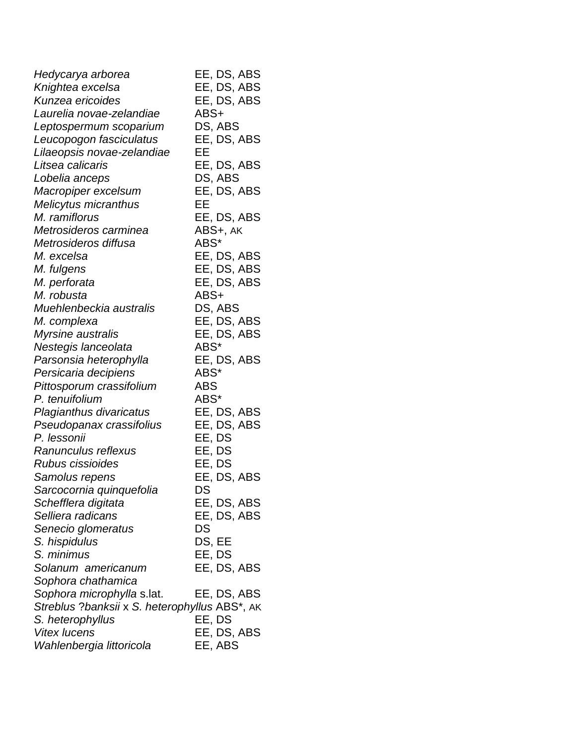| Hedycarya arborea                             | EE, DS, ABS |
|-----------------------------------------------|-------------|
| Knightea excelsa                              | EE, DS, ABS |
| Kunzea ericoides                              | EE, DS, ABS |
| Laurelia novae-zelandiae                      | ABS+        |
| Leptospermum scoparium                        | DS, ABS     |
| Leucopogon fasciculatus                       | EE, DS, ABS |
| Lilaeopsis novae-zelandiae                    | EЕ          |
| Litsea calicaris                              | EE, DS, ABS |
| Lobelia anceps                                | DS, ABS     |
| Macropiper excelsum                           | EE, DS, ABS |
| Melicytus micranthus                          | EЕ          |
| M. ramiflorus                                 | EE, DS, ABS |
| Metrosideros carminea                         | ABS+, AK    |
| Metrosideros diffusa                          | ABS*        |
| M. excelsa                                    | EE, DS, ABS |
| M. fulgens                                    | EE, DS, ABS |
| M. perforata                                  | EE, DS, ABS |
| M. robusta                                    | ABS+        |
| Muehlenbeckia australis                       | DS, ABS     |
| M. complexa                                   | EE, DS, ABS |
| Myrsine australis                             | EE, DS, ABS |
| Nestegis lanceolata                           | ABS*        |
| Parsonsia heterophylla                        | EE, DS, ABS |
| Persicaria decipiens                          | ABS*        |
| Pittosporum crassifolium                      | <b>ABS</b>  |
| P. tenuifolium                                | ABS*        |
| Plagianthus divaricatus                       | EE, DS, ABS |
| Pseudopanax crassifolius                      | EE, DS, ABS |
| P. lessonii                                   | EE, DS      |
| Ranunculus reflexus                           | EE, DS      |
| Rubus cissioides                              | EE, DS      |
| Samolus repens                                | EE, DS, ABS |
| Sarcocornia quinquefolia                      | DS          |
| Schefflera digitata                           | EE, DS, ABS |
| Selliera radicans                             | EE, DS, ABS |
| Senecio glomeratus                            | DS          |
| S. hispidulus                                 | DS, EE      |
| S. minimus                                    | EE, DS      |
| Solanum americanum                            | EE, DS, ABS |
| Sophora chathamica                            |             |
| Sophora microphylla s.lat.                    | EE, DS, ABS |
| Streblus ?banksii x S. heterophyllus ABS*, AK |             |
| S. heterophyllus                              | EE, DS      |
| <b>Vitex lucens</b>                           | EE, DS, ABS |
| Wahlenbergia littoricola                      | EE, ABS     |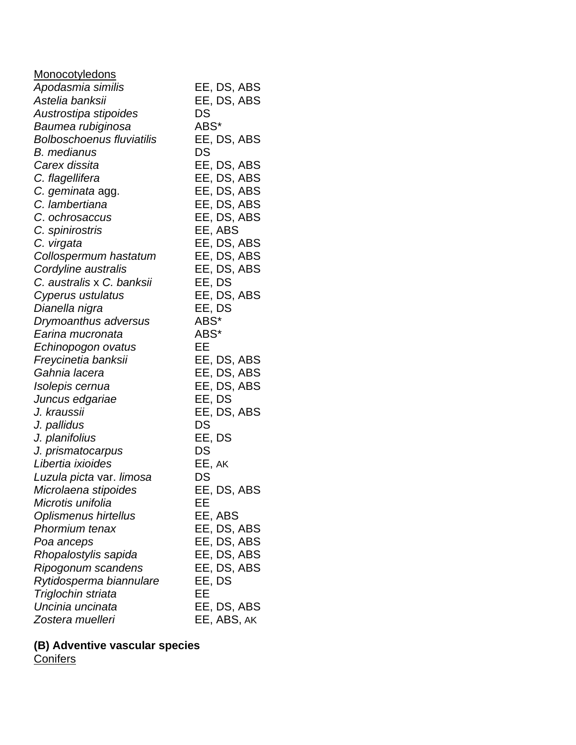| <b>Monocotyledons</b>            |             |
|----------------------------------|-------------|
| Apodasmia similis                | EE, DS, ABS |
| Astelia banksii                  | EE, DS, ABS |
| Austrostipa stipoides            | DS          |
| Baumea rubiginosa                | ABS*        |
| <b>Bolboschoenus fluviatilis</b> | EE, DS, ABS |
| <b>B.</b> medianus               | DS          |
| Carex dissita                    | EE, DS, ABS |
| C. flagellifera                  | EE, DS, ABS |
| C. geminata agg.                 | EE, DS, ABS |
| C. lambertiana                   | EE, DS, ABS |
| C. ochrosaccus                   | EE, DS, ABS |
| C. spinirostris                  | EE, ABS     |
| C. virgata                       | EE, DS, ABS |
| Collospermum hastatum            | EE, DS, ABS |
| Cordyline australis              | EE, DS, ABS |
| C. australis x C. banksii        | EE, DS      |
| Cyperus ustulatus                | EE, DS, ABS |
| Dianella nigra                   | EE, DS      |
| Drymoanthus adversus             | ABS*        |
| Earina mucronata                 | ABS*        |
| Echinopogon ovatus               | EЕ          |
| Freycinetia banksii              | EE, DS, ABS |
| Gahnia lacera                    | EE, DS, ABS |
| Isolepis cernua                  | EE, DS, ABS |
| Juncus edgariae                  | EE, DS      |
| J. kraussii                      | EE, DS, ABS |
| J. pallidus                      | DS          |
| J. planifolius                   | EE, DS      |
| J. prismatocarpus                | DS          |
| Libertia ixioides                | EE, AK      |
| Luzula picta var. limosa         | DS          |
| Microlaena stipoides             | EE, DS, ABS |
| Microtis unifolia                | EE          |
| Oplismenus hirtellus             | EE, ABS     |
| Phormium tenax                   | EE, DS, ABS |
| Poa anceps                       | EE, DS, ABS |
| Rhopalostylis sapida             | EE, DS, ABS |
| Ripogonum scandens               | EE, DS, ABS |
| Rytidosperma biannulare          | EE, DS      |
| Triglochin striata               | EE          |
| Uncinia uncinata                 | EE, DS, ABS |
| Zostera muelleri                 | EE, ABS, AK |

#### **(B) Adventive vascular species** Conifers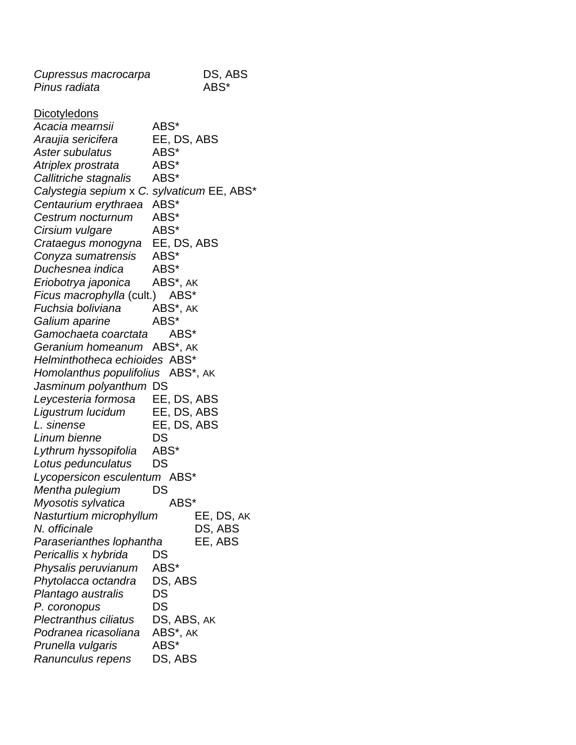| Cupressus macrocarpa                       | DS, ABS     |
|--------------------------------------------|-------------|
| Pinus radiata                              | ABS*        |
|                                            |             |
| <u>Dicotyledons</u>                        |             |
| Acacia mearnsii                            | ABS*        |
| Araujia sericifera                         | EE, DS, ABS |
| Aster subulatus                            | ABS*        |
| Atriplex prostrata                         | ABS*        |
| Callitriche stagnalis                      | ABS*        |
| Calystegia sepium x C. sylvaticum EE, ABS* |             |
| Centaurium erythraea                       | ABS*        |
| Cestrum nocturnum                          | ABS*        |
| Cirsium vulgare                            | ABS*        |
| Crataegus monogyna                         | EE, DS, ABS |
| Conyza sumatrensis                         | ABS*        |
| Duchesnea indica                           | ABS*        |
| Eriobotrya japonica                        | ABS*, AK    |
| Ficus macrophylla (cult.) ABS*             |             |
| Fuchsia boliviana                          | ABS*, AK    |
| Galium aparine                             | ABS*        |
| Gamochaeta coarctata                       | ABS*        |
| Geranium homeanum ABS*, AK                 |             |
| Helminthotheca echioides ABS*              |             |
| Homolanthus populifolius ABS*, AK          |             |
| Jasminum polyanthum DS                     |             |
| Leycesteria formosa EE, DS, ABS            |             |
| Ligustrum lucidum                          | EE, DS, ABS |
| L. sinense                                 | EE, DS, ABS |
| Linum bienne                               | DS          |
| Lythrum hyssopifolia                       | ABS*        |
| Lotus pedunculatus                         | DS          |
| Lycopersicon esculentum ABS*               |             |
| Mentha pulegium                            | DS          |
| Myosotis sylvatica                         | ABS*        |
| Nasturtium microphyllum                    | EE, DS, AK  |
| N. officinale                              | DS, ABS     |
| Paraserianthes lophantha                   | EE, ABS     |
| Pericallis x hybrida                       | DS          |
| Physalis peruvianum                        | ABS*        |
| Phytolacca octandra                        | DS, ABS     |
| Plantago australis                         | DS          |
| P. coronopus                               | DS          |
| <b>Plectranthus ciliatus</b>               | DS, ABS, AK |
| Podranea ricasoliana                       | ABS*, AK    |
| Prunella vulgaris                          | ABS*        |
| Ranunculus repens                          | DS, ABS     |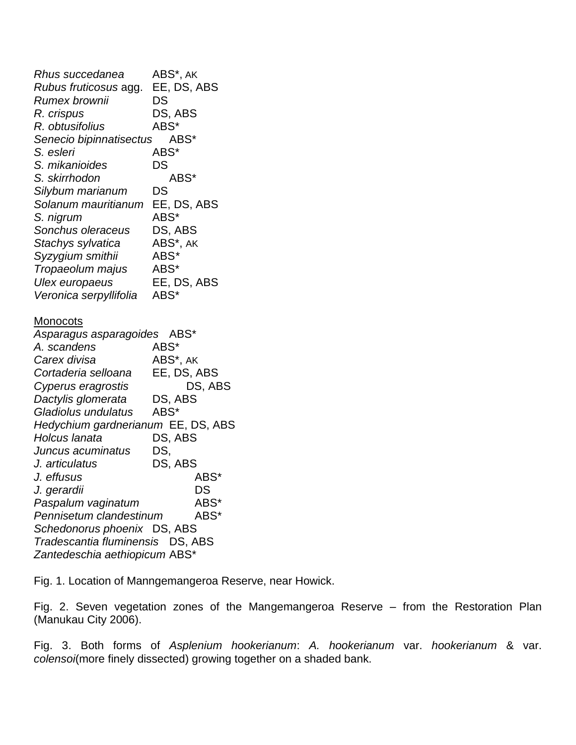*Rhus succedanea* ABS\*, AK *Rubus fruticosus* agg. EE, DS, ABS *Rumex brownii* DS *R. crispus* DS, ABS *R. obtusifolius* ABS\* *Senecio bipinnatisectus* ABS\* *S. esleri* ABS\* *S. mikanioides* DS *S. skirrhodon* ABS\* *Silybum marianum* DS *Solanum mauritianum* EE, DS, ABS *S. nigrum* ABS\* *Sonchus oleraceus* DS, ABS *Stachys sylvatica* ABS\*, AK *Syzygium smithii* ABS*\* Tropaeolum majus* ABS\* *Ulex europaeus* EE, DS, ABS *Veronica serpyllifolia* ABS\* Monocots *Asparagus asparagoides* ABS\* *A. scandens* ABS\* *Carex divisa* ABS\*, AK *Cortaderia selloana* EE, DS, ABS *Cyperus eragrostis* DS, ABS *Dactylis glomerata* DS, ABS *Gladiolus undulatus* ABS\* *Hedychium gardnerianum* EE, DS, ABS *Holcus lanata* DS, ABS *Juncus acuminatus* DS, *J. articulatus* DS, ABS *J. effusus* ABS\* *J. gerardii* DS *Paspalum vaginatum* ABS\* *Pennisetum clandestinum* ABS\* *Schedonorus phoenix* DS, ABS *Tradescantia fluminensis* DS, ABS *Zantedeschia aethiopicum* ABS\*

Fig. 1. Location of Manngemangeroa Reserve, near Howick.

Fig. 2. Seven vegetation zones of the Mangemangeroa Reserve – from the Restoration Plan (Manukau City 2006).

Fig. 3. Both forms of *Asplenium hookerianum*: *A. hookerianum* var. *hookerianum* & var. *colensoi*(more finely dissected) growing together on a shaded bank.